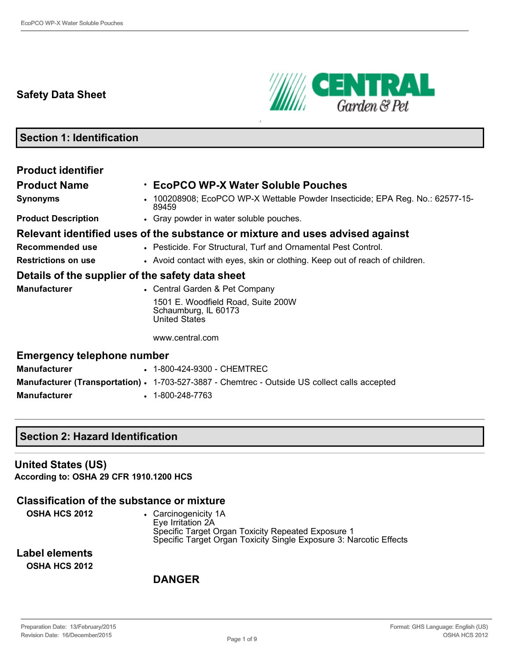# **Safety Data Sheet**



# **Section 1: Identification Product identifier Product Name** • **EcoPCO WPX Water Soluble Pouches Synonyms** • 100208908; EcoPCO WP-X Wettable Powder Insecticide; EPA Reg. No.: 62577-15-89459 **Product Description** • Gray powder in water soluble pouches. **Relevant identified uses of the substance or mixture and uses advised against Recommended use** • Pesticide. For Structural, Turf and Ornamental Pest Control. **Restrictions on use** • Avoid contact with eyes, skin or clothing. Keep out of reach of children. **Details of the supplier of the safety data sheet Manufacturer** • Central Garden & Pet Company 1501 E. Woodfield Road, Suite 200W Schaumburg, IL 60173 United States www.central.com **Emergency telephone number Manufacturer • 1-800-424-9300 - CHEMTREC Manufacturer (Transportation) · 1-703-527-3887 - Chemtrec - Outside US collect calls accepted Manufacturer** • 1-800-248-7763

### **Section 2: Hazard Identification**

**United States (US) According to: OSHA 29 CFR 1910.1200 HCS**

### **Classification of the substance or mixture**

| OSHA HCS 2012 | • Carcinogenicity 1A                                               |
|---------------|--------------------------------------------------------------------|
|               | Eve Irritation 2A                                                  |
|               | Specific Target Organ Toxicity Repeated Exposure 1                 |
|               | Specific Target Organ Toxicity Single Exposure 3: Narcotic Effects |

**Label elements OSHA HCS 2012**

### **DANGER**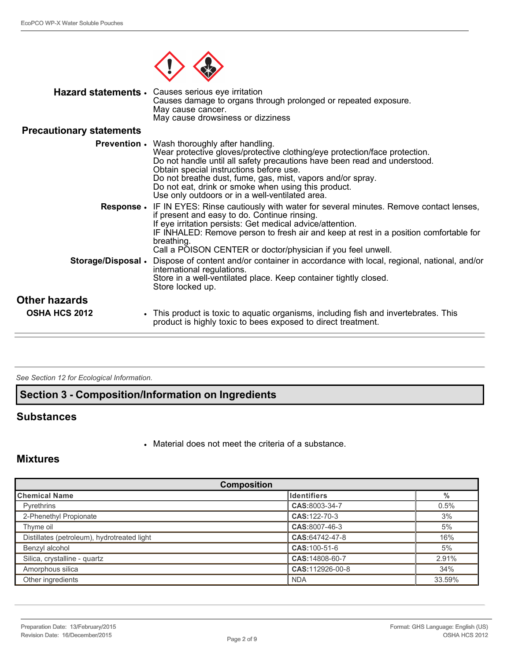

|                                 | Hazard statements • Causes serious eye irritation<br>Causes damage to organs through prolonged or repeated exposure.<br>May cause cancer.<br>May cause drowsiness or dizziness                                                                                                                                                                                                                                                    |
|---------------------------------|-----------------------------------------------------------------------------------------------------------------------------------------------------------------------------------------------------------------------------------------------------------------------------------------------------------------------------------------------------------------------------------------------------------------------------------|
| <b>Precautionary statements</b> |                                                                                                                                                                                                                                                                                                                                                                                                                                   |
|                                 | <b>Prevention .</b> Wash thoroughly after handling.<br>Wear protective gloves/protective clothing/eye protection/face protection.<br>Do not handle until all safety precautions have been read and understood.<br>Obtain special instructions before use.<br>Do not breathe dust, fume, gas, mist, vapors and/or spray.<br>Do not eat, drink or smoke when using this product.<br>Use only outdoors or in a well-ventilated area. |
| <b>Response</b> •               | IF IN EYES: Rinse cautiously with water for several minutes. Remove contact lenses,<br>if present and easy to do. Continue rinsing.<br>If eye irritation persists: Get medical advice/attention.<br>IF INHALED: Remove person to fresh air and keep at rest in a position comfortable for<br>breathing.<br>Call a POISON CENTER or doctor/physician if you feel unwell.                                                           |
| Storage/Disposal .              | Dispose of content and/or container in accordance with local, regional, national, and/or<br>international regulations.<br>Store in a well-ventilated place. Keep container tightly closed.<br>Store locked up.                                                                                                                                                                                                                    |
| <b>Other hazards</b>            |                                                                                                                                                                                                                                                                                                                                                                                                                                   |
| <b>OSHA HCS 2012</b>            | This product is toxic to aquatic organisms, including fish and invertebrates. This<br>product is highly toxic to bees exposed to direct treatment.                                                                                                                                                                                                                                                                                |

*See Section 12 for Ecological Information.* 

### **Section 3 Composition/Information on Ingredients**

### **Substances**

• Material does not meet the criteria of a substance.

### **Mixtures**

| <b>Composition</b>                          |                    |        |
|---------------------------------------------|--------------------|--------|
| ∥Chemical Name                              | <b>Identifiers</b> | $\%$   |
| <b>Pyrethrins</b>                           | CAS:8003-34-7      | 0.5%   |
| 2-Phenethyl Propionate                      | CAS: 122-70-3      | 3%     |
| Thyme oil                                   | CAS:8007-46-3      | 5%     |
| Distillates (petroleum), hydrotreated light | CAS:64742-47-8     | 16%    |
| Benzyl alcohol                              | CAS: 100-51-6      | 5%     |
| Silica, crystalline - quartz                | CAS: 14808-60-7    | 2.91%  |
| Amorphous silica                            | CAS:112926-00-8    | 34%    |
| Other ingredients                           | <b>NDA</b>         | 33.59% |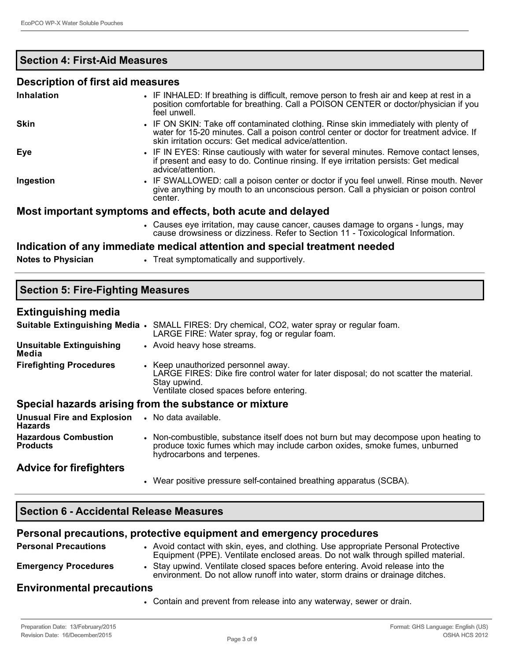### **Section 4: First-Aid Measures**

### **Description of first aid measures**

| <b>Inhalation</b> | • IF INHALED: If breathing is difficult, remove person to fresh air and keep at rest in a<br>position comfortable for breathing. Call a POISON CENTER or doctor/physician if you<br>feel unwell.                                         |
|-------------------|------------------------------------------------------------------------------------------------------------------------------------------------------------------------------------------------------------------------------------------|
| <b>Skin</b>       | • IF ON SKIN: Take off contaminated clothing. Rinse skin immediately with plenty of<br>water for 15-20 minutes. Call a poison control center or doctor for treatment advice. If<br>skin irritation occurs: Get medical advice/attention. |
| <b>Eye</b>        | • IF IN EYES: Rinse cautiously with water for several minutes. Remove contact lenses,<br>if present and easy to do. Continue rinsing. If eye irritation persists: Get medical<br>advice/attention.                                       |
| Ingestion         | • IF SWALLOWED: call a poison center or doctor if you feel unwell. Rinse mouth. Never<br>give anything by mouth to an unconscious person. Call a physician or poison control<br>center.                                                  |
|                   | Most important symptoms and effects, both acute and delayed                                                                                                                                                                              |
|                   | • Causes eye irritation, may cause cancer, causes damage to organs - lungs, may<br>cause drowsiness or dizziness. Refer to Section 11 - Toxicological Information.                                                                       |

#### **Indication of any immediate medical attention and special treatment needed**

**Notes to Physician • Treat symptomatically and supportively.** 

| <b>Section 5: Fire-Fighting Measures</b>            |                                                                                                                                                                                                 |  |  |  |
|-----------------------------------------------------|-------------------------------------------------------------------------------------------------------------------------------------------------------------------------------------------------|--|--|--|
| <b>Extinguishing media</b>                          |                                                                                                                                                                                                 |  |  |  |
|                                                     | Suitable Extinguishing Media • SMALL FIRES: Dry chemical, CO2, water spray or regular foam.<br>LARGE FIRE: Water spray, fog or regular foam.                                                    |  |  |  |
| <b>Unsuitable Extinguishing</b><br>Media            | • Avoid heavy hose streams.                                                                                                                                                                     |  |  |  |
| <b>Firefighting Procedures</b>                      | • Keep unauthorized personnel away.<br>LARGE FIRES: Dike fire control water for later disposal; do not scatter the material.<br>Stay upwind.<br>Ventilate closed spaces before entering.        |  |  |  |
|                                                     | Special hazards arising from the substance or mixture                                                                                                                                           |  |  |  |
| <b>Unusual Fire and Explosion</b><br><b>Hazards</b> | • No data available.                                                                                                                                                                            |  |  |  |
| <b>Hazardous Combustion</b><br><b>Products</b>      | • Non-combustible, substance itself does not burn but may decompose upon heating to<br>produce toxic fumes which may include carbon oxides, smoke fumes, unburned<br>hydrocarbons and terpenes. |  |  |  |

### **Advice for firefighters**

• Wear positive pressure self-contained breathing apparatus (SCBA).

### **Section 6 Accidental Release Measures**

### **Personal precautions, protective equipment and emergency procedures**

**Personal Precautions** • Avoid contact with skin, eyes, and clothing. Use appropriate Personal Protective Equipment (PPE). Ventilate enclosed areas. Do not walk through spilled material. **Emergency Procedures** • Stay upwind. Ventilate closed spaces before entering. Avoid release into the environment. Do not allow runoff into water, storm drains or drainage ditches.

### **Environmental precautions**

• Contain and prevent from release into any waterway, sewer or drain.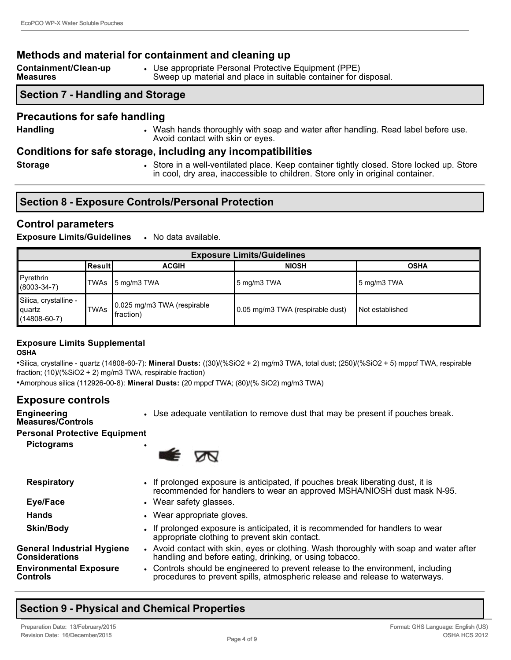### **Methods and material for containment and cleaning up**

| Containment/Clean-up | Use appropriate Personal Protective Equipment (PPE)             |
|----------------------|-----------------------------------------------------------------|
| Measures             | Sweep up material and place in suitable container for disposal. |

### **Section 7 - Handling and Storage**

#### **Precautions for safe handling**

- 
- **Handling Wash hands thoroughly with soap and water after handling. Read label before use.** Avoid contact with skin or eyes.

#### **Conditions for safe storage, including any incompatibilities**

- 
- **Storage Store in a well-ventilated place. Keep container tightly closed. Store locked up. Store locked up. Store** in cool, dry area, inaccessible to children. Store only in original container.

|  |  | <b>Section 8 - Exposure Controls/Personal Protection</b> |
|--|--|----------------------------------------------------------|
|--|--|----------------------------------------------------------|

### **Control parameters**

**Exposure Limits/Guidelines** • No data available.

| <b>Exposure Limits/Guidelines</b>                     |             |                                          |                                  |                        |
|-------------------------------------------------------|-------------|------------------------------------------|----------------------------------|------------------------|
|                                                       | ∣Result I   | <b>ACGIH</b>                             | <b>NIOSH</b>                     | <b>OSHA</b>            |
| Pyrethrin<br>$(8003 - 34 - 7)$                        | TWAs        | $\overline{5}$ mg/m3 TWA                 | 15 mg/m3 TWA                     | $\vert$ 5 mg/m3 TWA    |
| Silica, crystalline -<br>quartz<br>$(14808 - 60 - 7)$ | <b>TWAs</b> | 0.025 mg/m3 TWA (respirable<br>fraction) | 0.05 mg/m3 TWA (respirable dust) | <b>Not established</b> |

#### **Exposure Limits Supplemental OSHA**

•Silica, crystalline - quartz (14808-60-7): **Mineral Dusts:** ((30)/(%SiO2 + 2) mg/m3 TWA, total dust; (250)/(%SiO2 + 5) mppcf TWA, respirable fraction; (10)/(%SiO2 + 2) mg/m3 TWA, respirable fraction)

•Amorphous silica (112926-00-8): Mineral Dusts: (20 mppcf TWA; (80)/(% SiO2) mg/m3 TWA)

### **Exposure controls**

- Use adequate ventilation to remove dust that may be present if pouches break.
- **Engineering Measures/Controls**
- **Personal Protective Equipment**

**Pictograms** •



| <b>Respiratory</b>                                         | • If prolonged exposure is anticipated, if pouches break liberating dust, it is<br>recommended for handlers to wear an approved MSHA/NIOSH dust mask N-95.      |
|------------------------------------------------------------|-----------------------------------------------------------------------------------------------------------------------------------------------------------------|
| Eye/Face                                                   | • Wear safety glasses.                                                                                                                                          |
| <b>Hands</b>                                               | • Wear appropriate gloves.                                                                                                                                      |
| <b>Skin/Body</b>                                           | • If prolonged exposure is anticipated, it is recommended for handlers to wear<br>appropriate clothing to prevent skin contact.                                 |
| <b>General Industrial Hygiene</b><br><b>Considerations</b> | • Avoid contact with skin, eyes or clothing. Wash thoroughly with soap and water after<br>handling and before eating, drinking, or using tobacco.               |
| <b>Environmental Exposure</b><br>Controls                  | • Controls should be engineered to prevent release to the environment, including<br>procedures to prevent spills, atmospheric release and release to waterways. |

# **Section 9 Physical and Chemical Properties**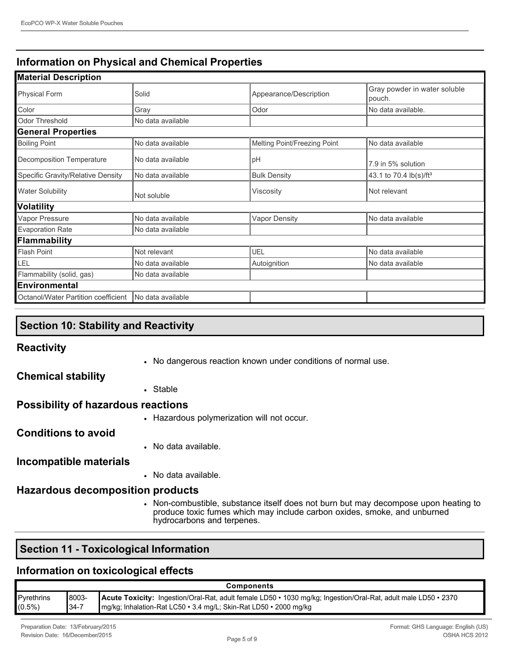## **Information on Physical and Chemical Properties**

| <b>Material Description</b>         |                   |                              |                                        |
|-------------------------------------|-------------------|------------------------------|----------------------------------------|
| <b>Physical Form</b>                | Solid             | Appearance/Description       | Gray powder in water soluble<br>pouch. |
| Color                               | Gray              | Odor                         | No data available.                     |
| Odor Threshold                      | No data available |                              |                                        |
| <b>General Properties</b>           |                   |                              |                                        |
| <b>Boiling Point</b>                | No data available | Melting Point/Freezing Point | No data available                      |
| Decomposition Temperature           | No data available | рH                           | 7.9 in 5% solution                     |
| Specific Gravity/Relative Density   | No data available | <b>Bulk Density</b>          | 43.1 to 70.4 lb(s)/ft <sup>3</sup>     |
| <b>Water Solubility</b>             | Not soluble       | Viscosity                    | Not relevant                           |
| Volatility                          |                   |                              |                                        |
| Vapor Pressure                      | No data available | <b>Vapor Density</b>         | No data available                      |
| <b>Evaporation Rate</b>             | No data available |                              |                                        |
| Flammability                        |                   |                              |                                        |
| Flash Point                         | Not relevant      | UEL                          | No data available                      |
| LEL                                 | No data available | Autoignition                 | No data available                      |
| Flammability (solid, gas)           | No data available |                              |                                        |
| <b>Environmental</b>                |                   |                              |                                        |
| Octanol/Water Partition coefficient | No data available |                              |                                        |

## **Section 10: Stability and Reactivity**

### **Reactivity**

• No dangerous reaction known under conditions of normal use.

### **Chemical stability**

• Stable

### **Possibility of hazardous reactions**

• Hazardous polymerization will not occur.

### **Conditions to avoid**

• No data available.

### **Incompatible materials**

• No data available.

### **Hazardous decomposition products**

• Non-combustible, substance itself does not burn but may decompose upon heating to produce toxic fumes which may include carbon oxides, smoke, and unburned hydrocarbons and terpenes.

## **Section 11 - Toxicological Information**

### **Information on toxicological effects**

| Components        |           |                                                                                                                       |
|-------------------|-----------|-----------------------------------------------------------------------------------------------------------------------|
| <b>Pyrethrins</b> | 8003-     | <b>Acute Toxicity:</b> Ingestion/Oral-Rat, adult female LD50 • 1030 mg/kg; Ingestion/Oral-Rat, adult male LD50 • 2370 |
| $(0.5\%)$         | $134 - 7$ | Img/kg; Inhalation-Rat LC50 • 3.4 mg/L; Skin-Rat LD50 • 2000 mg/kg                                                    |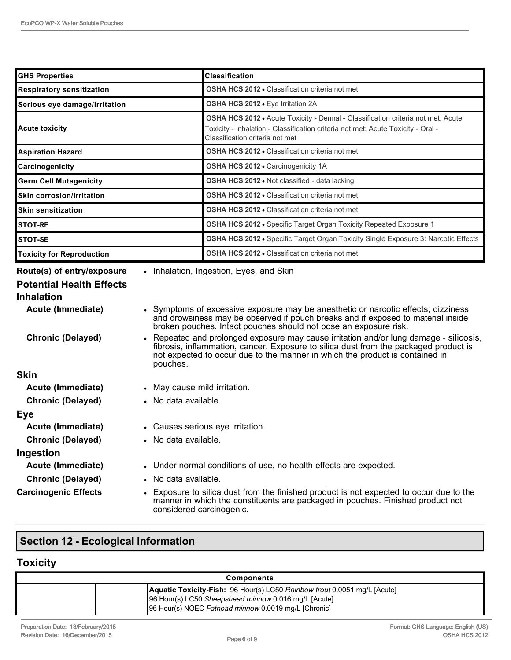| <b>GHS Properties</b>                                                                                   |                                                                                                                                                                                                                                                                            | <b>Classification</b>                                                                                                                                                                                                                                                                |  |
|---------------------------------------------------------------------------------------------------------|----------------------------------------------------------------------------------------------------------------------------------------------------------------------------------------------------------------------------------------------------------------------------|--------------------------------------------------------------------------------------------------------------------------------------------------------------------------------------------------------------------------------------------------------------------------------------|--|
| <b>Respiratory sensitization</b>                                                                        |                                                                                                                                                                                                                                                                            | <b>OSHA HCS 2012 • Classification criteria not met</b>                                                                                                                                                                                                                               |  |
| Serious eye damage/Irritation                                                                           |                                                                                                                                                                                                                                                                            | OSHA HCS 2012 · Eye Irritation 2A                                                                                                                                                                                                                                                    |  |
| <b>Acute toxicity</b>                                                                                   |                                                                                                                                                                                                                                                                            | OSHA HCS 2012 · Acute Toxicity - Dermal - Classification criteria not met; Acute<br>Toxicity - Inhalation - Classification criteria not met: Acute Toxicity - Oral -<br>Classification criteria not met                                                                              |  |
| <b>Aspiration Hazard</b>                                                                                |                                                                                                                                                                                                                                                                            | <b>OSHA HCS 2012 • Classification criteria not met</b>                                                                                                                                                                                                                               |  |
| Carcinogenicity                                                                                         |                                                                                                                                                                                                                                                                            | <b>OSHA HCS 2012 • Carcinogenicity 1A</b>                                                                                                                                                                                                                                            |  |
| <b>Germ Cell Mutagenicity</b>                                                                           |                                                                                                                                                                                                                                                                            | OSHA HCS 2012 . Not classified - data lacking                                                                                                                                                                                                                                        |  |
| <b>Skin corrosion/Irritation</b>                                                                        |                                                                                                                                                                                                                                                                            | <b>OSHA HCS 2012 • Classification criteria not met</b>                                                                                                                                                                                                                               |  |
| <b>Skin sensitization</b>                                                                               |                                                                                                                                                                                                                                                                            | <b>OSHA HCS 2012 • Classification criteria not met</b>                                                                                                                                                                                                                               |  |
| <b>STOT-RE</b>                                                                                          |                                                                                                                                                                                                                                                                            | OSHA HCS 2012 · Specific Target Organ Toxicity Repeated Exposure 1                                                                                                                                                                                                                   |  |
| <b>STOT-SE</b>                                                                                          |                                                                                                                                                                                                                                                                            | OSHA HCS 2012 • Specific Target Organ Toxicity Single Exposure 3: Narcotic Effects                                                                                                                                                                                                   |  |
| <b>Toxicity for Reproduction</b>                                                                        |                                                                                                                                                                                                                                                                            | <b>OSHA HCS 2012 • Classification criteria not met</b>                                                                                                                                                                                                                               |  |
| Route(s) of entry/exposure<br><b>Potential Health Effects</b><br><b>Inhalation</b><br>Acute (Immediate) |                                                                                                                                                                                                                                                                            | • Inhalation, Ingestion, Eyes, and Skin<br>• Symptoms of excessive exposure may be anesthetic or narcotic effects; dizziness<br>and drowsiness may be observed if pouch breaks and if exposed to material inside<br>broken pouches. Intact pouches should not pose an exposure risk. |  |
| <b>Chronic (Delayed)</b>                                                                                | • Repeated and prolonged exposure may cause irritation and/or lung damage - silicosis,<br>fibrosis, inflammation, cancer. Exposure to silica dust from the packaged product is<br>not expected to occur due to the manner in which the product is contained in<br>pouches. |                                                                                                                                                                                                                                                                                      |  |
| <b>Skin</b>                                                                                             |                                                                                                                                                                                                                                                                            |                                                                                                                                                                                                                                                                                      |  |
| Acute (Immediate)                                                                                       | • May cause mild irritation.                                                                                                                                                                                                                                               |                                                                                                                                                                                                                                                                                      |  |
| <b>Chronic (Delayed)</b>                                                                                | • No data available.                                                                                                                                                                                                                                                       |                                                                                                                                                                                                                                                                                      |  |
| <b>Eye</b>                                                                                              |                                                                                                                                                                                                                                                                            |                                                                                                                                                                                                                                                                                      |  |
| Acute (Immediate)                                                                                       | • Causes serious eye irritation.                                                                                                                                                                                                                                           |                                                                                                                                                                                                                                                                                      |  |
| <b>Chronic (Delayed)</b><br>• No data available.                                                        |                                                                                                                                                                                                                                                                            |                                                                                                                                                                                                                                                                                      |  |
| Ingestion                                                                                               |                                                                                                                                                                                                                                                                            |                                                                                                                                                                                                                                                                                      |  |
| Acute (Immediate)                                                                                       |                                                                                                                                                                                                                                                                            | • Under normal conditions of use, no health effects are expected.                                                                                                                                                                                                                    |  |
| <b>Chronic (Delayed)</b>                                                                                | • No data available.                                                                                                                                                                                                                                                       |                                                                                                                                                                                                                                                                                      |  |

**Carcinogenic Effects** • Exposure to silica dust from the finished product is not expected to occur due to the manner in which the constituents are packaged in pouches. Finished product not considered carcinogenic.

# **Section 12 Ecological Information**

# **Toxicity**

| <b>Components</b>                  |                                                                                                                                                                                                 |
|------------------------------------|-------------------------------------------------------------------------------------------------------------------------------------------------------------------------------------------------|
|                                    | <b>Aquatic Toxicity-Fish:</b> 96 Hour(s) LC50 Rainbow trout 0.0051 mg/L [Acute]<br>96 Hour(s) LC50 Sheepshead minnow 0.016 mg/L [Acute]<br>96 Hour(s) NOEC Fathead minnow 0.0019 mg/L [Chronic] |
| Preparation Date: 13/February/2015 | Format: GHS Language: English (US)                                                                                                                                                              |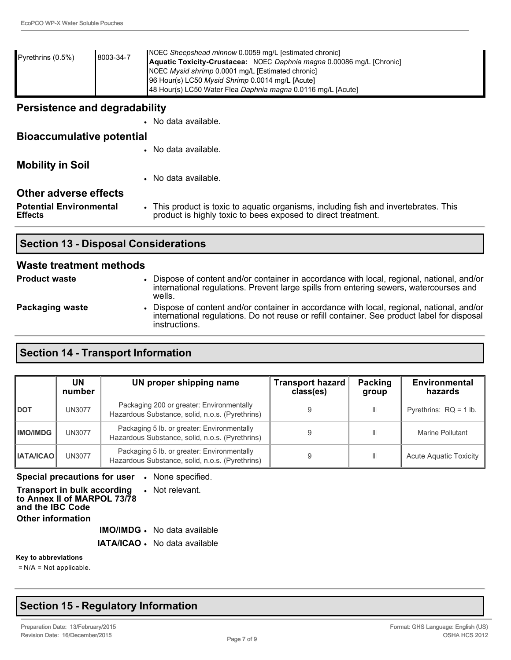| Pyrethrins $(0.5\%)$                                  | 8003-34-7 | NOEC Sheepshead minnow 0.0059 mg/L [estimated chronic]<br>Aquatic Toxicity-Crustacea: NOEC Daphnia magna 0.00086 mg/L [Chronic]<br>NOEC Mysid shrimp 0.0001 mg/L [Estimated chronic]<br>96 Hour(s) LC50 Mysid Shrimp 0.0014 mg/L [Acute]<br>48 Hour(s) LC50 Water Flea Daphnia magna 0.0116 mg/L [Acute] |  |
|-------------------------------------------------------|-----------|----------------------------------------------------------------------------------------------------------------------------------------------------------------------------------------------------------------------------------------------------------------------------------------------------------|--|
| Persistence and degradability<br>• No data available. |           |                                                                                                                                                                                                                                                                                                          |  |

| <b>Potential Environmental</b><br><b>Effects</b> | • This product is toxic to aquatic organisms, including fish and invertebrates. This<br>product is highly toxic to bees exposed to direct treatment. |
|--------------------------------------------------|------------------------------------------------------------------------------------------------------------------------------------------------------|
| <b>Other adverse effects</b>                     |                                                                                                                                                      |
|                                                  | • No data available.                                                                                                                                 |
| <b>Mobility in Soil</b>                          |                                                                                                                                                      |
|                                                  | • No data available.                                                                                                                                 |
| <b>PICACCUTTURE POTETTION</b>                    |                                                                                                                                                      |

### **Section 13 - Disposal Considerations**

#### **Waste treatment methods**

**Bioaccumulative potential**

| <b>Product waste</b> | Dispose of content and/or container in accordance with local, regional, national, and/or<br>international regulations. Prevent large spills from entering sewers, watercourses and<br>wells.             |
|----------------------|----------------------------------------------------------------------------------------------------------------------------------------------------------------------------------------------------------|
| Packaging waste      | Dispose of content and/or container in accordance with local, regional, national, and/or<br>international regulations. Do not reuse or refill container. See product label for disposal<br>instructions. |

### **Section 14 - Transport Information**

|                  | UN<br>number | UN proper shipping name                                                                        | <b>Transport hazard</b><br>class(es) | Packing<br>group | Environmental<br>hazards      |
|------------------|--------------|------------------------------------------------------------------------------------------------|--------------------------------------|------------------|-------------------------------|
| <b>DOT</b>       | UN3077       | Packaging 200 or greater: Environmentally<br>Hazardous Substance, solid, n.o.s. (Pyrethrins)   |                                      |                  | Pyrethrins: $RQ = 1$ lb.      |
| <b>IMO/IMDG</b>  | UN3077       | Packaging 5 lb. or greater: Environmentally<br>Hazardous Substance, solid, n.o.s. (Pyrethrins) |                                      | Ш                | Marine Pollutant              |
| <b>IATA/ICAO</b> | UN3077       | Packaging 5 lb. or greater: Environmentally<br>Hazardous Substance, solid, n.o.s. (Pyrethrins) |                                      |                  | <b>Acute Aquatic Toxicity</b> |

**Special precautions for user** • None specified.

**Transport in bulk according to Annex II of MARPOL 73/78 and the IBC Code** • Not relevant. **Other information**

**IMO/IMDG** • No data available

**IATA/ICAO** • No data available

**Key to abbreviations**

= N/A = Not applicable.

## **Section 15 Regulatory Information**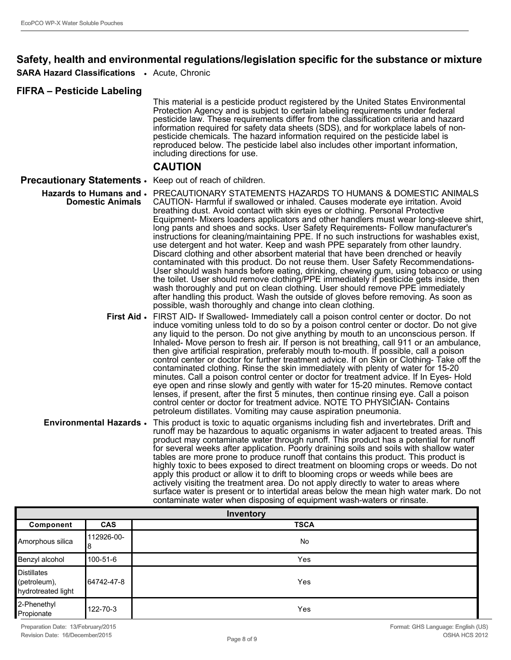### **Safety, health and environmental regulations/legislation specific for the substance or mixture**

**SARA Hazard Classifications** • Acute, Chronic

#### **FIFRA – Pesticide Labeling**

This material is a pesticide product registered by the United States Environmental Protection Agency and is subject to certain labeling requirements under federal pesticide law. These requirements differ from the classification criteria and hazard information required for safety data sheets (SDS), and for workplace labels of nonpesticide chemicals. The hazard information required on the pesticide label is reproduced below. The pesticide label also includes other important information, including directions for use.

#### **CAUTION**

#### **Precautionary Statements** • Keep out of reach of children.

- **Hazards to Humans and**  PRECAUTIONARY STATEMENTS HAZARDS TO HUMANS & DOMESTIC ANIMALS **Domestic Animals** CAUTION- Harmful if swallowed or inhaled. Causes moderate eye irritation. Avoid breathing dust. Avoid contact with skin eyes or clothing. Personal Protective Equipment- Mixers loaders applicators and other handlers must wear long-sleeve shirt, long pants and shoes and socks. User Safety Requirements- Follow manufacturer's instructions for cleaning/maintaining PPE. If no such instructions for washables exist, use detergent and hot water. Keep and wash PPE separately from other laundry. Discard clothing and other absorbent material that have been drenched or heavily contaminated with this product. Do not reuse them. User Safety Recommendations-User should wash hands before eating, drinking, chewing gum, using tobacco or using the toilet. User should remove clothing/PPE immediately if pesticide gets inside, then wash thoroughly and put on clean clothing. User should remove PPE immediately after handling this product. Wash the outside of gloves before removing. As soon as possible, wash thoroughly and change into clean clothing.
	- **First Aid** FIRST AID- If Swallowed- Immediately call a poison control center or doctor. Do not induce vomiting unless told to do so by a poison control center or doctor. Do not give any liquid to the person. Do not give anything by mouth to an unconscious person. If Inhaled- Move person to fresh air. If person is not breathing, call 911 or an ambulance, then give artificial respiration, preferably mouth to-mouth. If possible, call a poison control center or doctor for further treatment advice. If on Skin or Clothing-Take off the contaminated clothing. Rinse the skin immediately with plenty of water for 1520 minutes. Call a poison control center or doctor for treatment advice. If In Eyes Hold eye open and rinse slowly and gently with water for 1520 minutes. Remove contact lenses, if present, after the first 5 minutes, then continue rinsing eye. Call a poison control center or doctor for treatment advice. NOTE TO PHYSICIAN- Contains petroleum distillates. Vomiting may cause aspiration pneumonia.
	- **Environmental Hazards** This product is toxic to aquatic organisms including fish and invertebrates. Drift and runoff may be hazardous to aquatic organisms in water adjacent to treated areas. This product may contaminate water through runoff. This product has a potential for runoff for several weeks after application. Poorly draining soils and soils with shallow water tables are more prone to produce runoff that contains this product. This product is highly toxic to bees exposed to direct treatment on blooming crops or weeds. Do not apply this product or allow it to drift to blooming crops or weeds while bees are actively visiting the treatment area. Do not apply directly to water to areas where surface water is present or to intertidal areas below the mean high water mark. Do not contaminate water when disposing of equipment wash-waters or rinsate.

| Inventory                                                |                 |             |
|----------------------------------------------------------|-----------------|-------------|
| Component                                                | <b>CAS</b>      | <b>TSCA</b> |
| Amorphous silica                                         | 112926-00-<br>8 | <b>No</b>   |
| Benzyl alcohol                                           | 100-51-6        | Yes         |
| <b>Distillates</b><br>(petroleum),<br>hydrotreated light | 8-1742-47 ∎64   | Yes         |
| 2-Phenethyl<br>Propionate                                | 122-70-3        | Yes         |